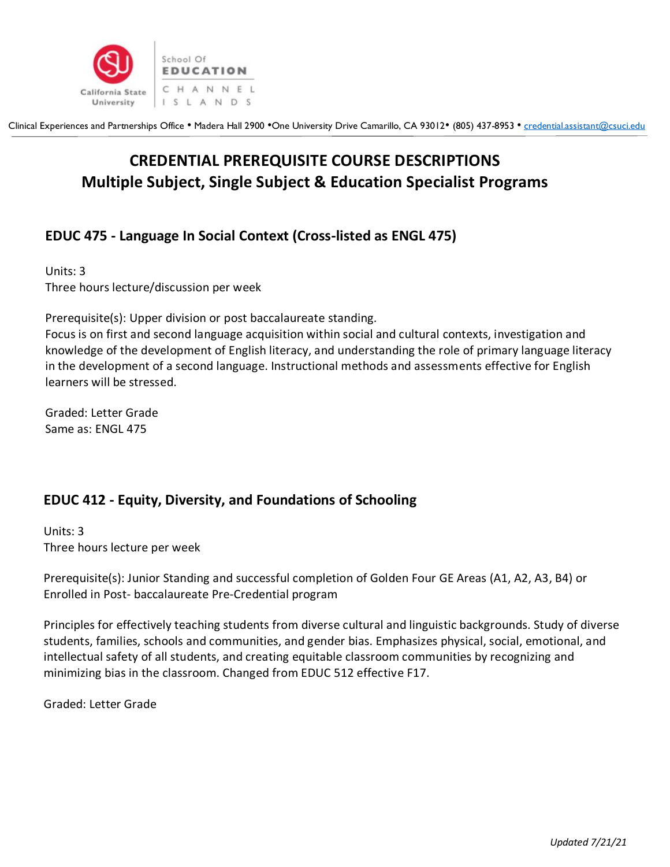

# **CREDENTIAL PREREQUISITE COURSE DESCRIPTIONS Multiple Subject, Single Subject & Education Specialist Programs**

## **EDUC 475 - Language In Social Context (Cross-listed as ENGL 475)**

Units: 3 Three hours lecture/discussion per week

Prerequisite(s): Upper division or post baccalaureate standing.

Focus is on first and second language acquisition within social and cultural contexts, investigation and knowledge of the development of English literacy, and understanding the role of primary language literacy in the development of a second language. Instructional methods and assessments effective for English learners will be stressed.

Graded: Letter Grade Same as: ENGL 475

## **EDUC 412 - Equity, Diversity, and Foundations of Schooling**

Units: 3 Three hours lecture per week

Prerequisite(s): Junior Standing and successful completion of Golden Four GE Areas (A1, A2, A3, B4) or Enrolled in Post- baccalaureate Pre-Credential program

Principles for effectively teaching students from diverse cultural and linguistic backgrounds. Study of diverse students, families, schools and communities, and gender bias. Emphasizes physical, social, emotional, and intellectual safety of all students, and creating equitable classroom communities by recognizing and minimizing bias in the classroom. Changed from EDUC 512 effective F17.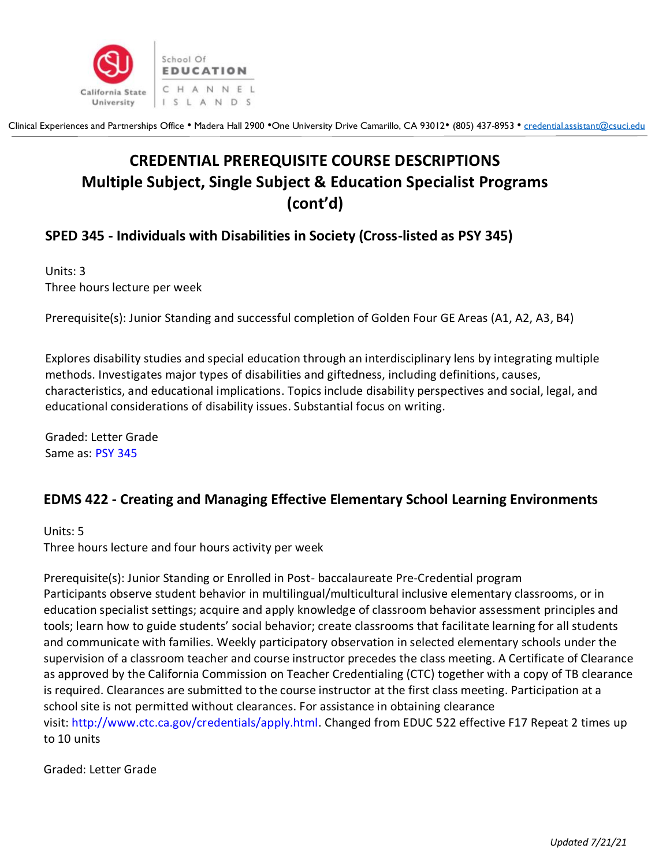

# **CREDENTIAL PREREQUISITE COURSE DESCRIPTIONS Multiple Subject, Single Subject & Education Specialist Programs (cont'd)**

## **SPED 345 - Individuals with Disabilities in Society (Cross-listed as PSY 345)**

Units: 3 Three hours lecture per week

Prerequisite(s): Junior Standing and successful completion of Golden Four GE Areas (A1, A2, A3, B4)

Explores disability studies and special education through an interdisciplinary lens by integrating multiple methods. Investigates major types of disabilities and giftedness, including definitions, causes, characteristics, and educational implications. Topics include disability perspectives and social, legal, and educational considerations of disability issues. Substantial focus on writing.

Graded: Letter Grade Same as: [PSY 345](https://catalog.csuci.edu/content.php?filter%5B27%5D=SPED&filter%5B29%5D=345&filter%5Bcourse_type%5D=-1&filter%5Bkeyword%5D=&filter%5B32%5D=1&filter%5Bcpage%5D=1&cur_cat_oid=53&expand=&navoid=3949&search_database=Filter#tt3069)

## **EDMS 422 - Creating and Managing Effective Elementary School Learning Environments**

Units: 5 Three hours lecture and four hours activity per week

Prerequisite(s): Junior Standing or Enrolled in Post- baccalaureate Pre-Credential program Participants observe student behavior in multilingual/multicultural inclusive elementary classrooms, or in education specialist settings; acquire and apply knowledge of classroom behavior assessment principles and tools; learn how to guide students' social behavior; create classrooms that facilitate learning for all students and communicate with families. Weekly participatory observation in selected elementary schools under the supervision of a classroom teacher and course instructor precedes the class meeting. A Certificate of Clearance as approved by the California Commission on Teacher Credentialing (CTC) together with a copy of TB clearance is required. Clearances are submitted to the course instructor at the first class meeting. Participation at a school site is not permitted without clearances. For assistance in obtaining clearance visit: [http://www.ctc.ca.gov/credentials/apply.html.](http://www.ctc.ca.gov/credentials/apply.html) Changed from EDUC 522 effective F17 Repeat 2 times up to 10 units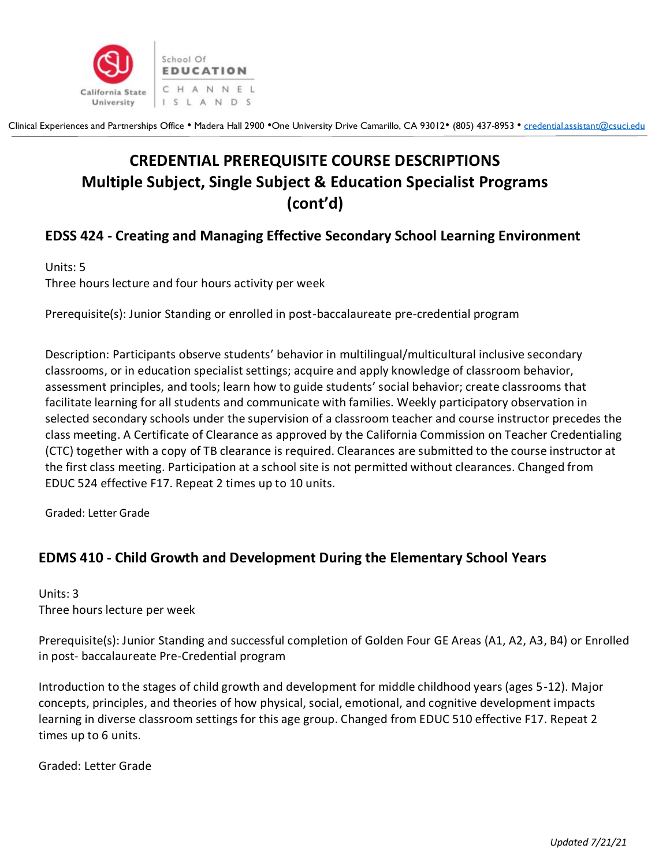

# **CREDENTIAL PREREQUISITE COURSE DESCRIPTIONS Multiple Subject, Single Subject & Education Specialist Programs (cont'd)**

## **EDSS 424 - Creating and Managing Effective Secondary School Learning Environment**

Units: 5 Three hours lecture and four hours activity per week

Prerequisite(s): Junior Standing or enrolled in post-baccalaureate pre-credential program

Description: Participants observe students' behavior in multilingual/multicultural inclusive secondary classrooms, or in education specialist settings; acquire and apply knowledge of classroom behavior, assessment principles, and tools; learn how to guide students' social behavior; create classrooms that facilitate learning for all students and communicate with families. Weekly participatory observation in selected secondary schools under the supervision of a classroom teacher and course instructor precedes the class meeting. A Certificate of Clearance as approved by the California Commission on Teacher Credentialing (CTC) together with a copy of TB clearance is required. Clearances are submitted to the course instructor at the first class meeting. Participation at a school site is not permitted without clearances. Changed from EDUC 524 effective F17. Repeat 2 times up to 10 units.

Graded: Letter Grade

#### **EDMS 410 - Child Growth and Development During the Elementary School Years**

Units: 3 Three hours lecture per week

Prerequisite(s): Junior Standing and successful completion of Golden Four GE Areas (A1, A2, A3, B4) or Enrolled in post- baccalaureate Pre-Credential program

Introduction to the stages of child growth and development for middle childhood years (ages 5-12). Major concepts, principles, and theories of how physical, social, emotional, and cognitive development impacts learning in diverse classroom settings for this age group. Changed from EDUC 510 effective F17. Repeat 2 times up to 6 units.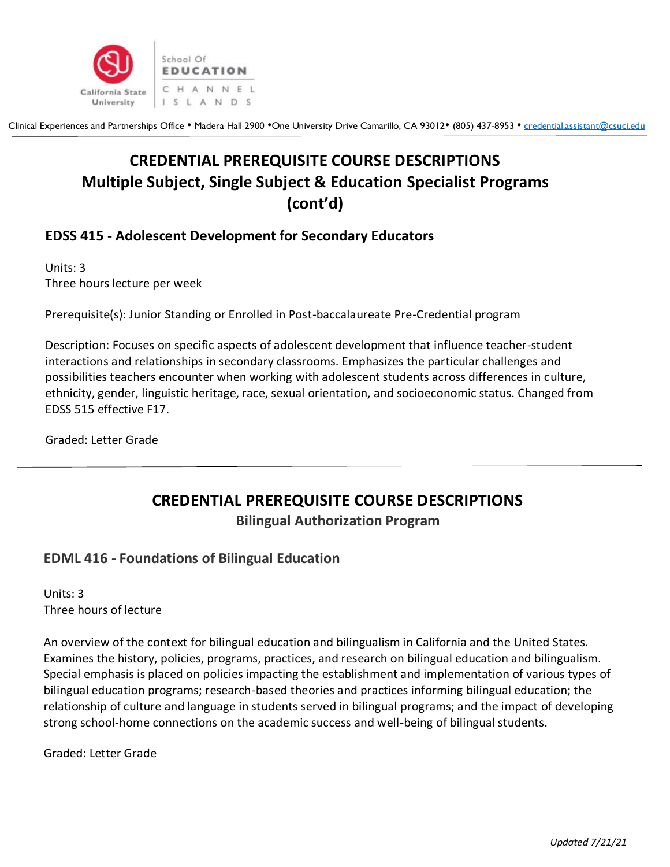

# **CREDENTIAL PREREQUISITE COURSE DESCRIPTIONS Multiple Subject, Single Subject & Education Specialist Programs (cont'd)**

#### **EDSS 415 - Adolescent Development for Secondary Educators**

Units: 3 Three hours lecture per week

Prerequisite(s): Junior Standing or Enrolled in Post-baccalaureate Pre-Credential program

Description: Focuses on specific aspects of adolescent development that influence teacher-student interactions and relationships in secondary classrooms. Emphasizes the particular challenges and possibilities teachers encounter when working with adolescent students across differences in culture, ethnicity, gender, linguistic heritage, race, sexual orientation, and socioeconomic status. Changed from EDSS 515 effective F17.

Graded: Letter Grade

# **CREDENTIAL PREREQUISITE COURSE DESCRIPTIONS**

**Bilingual Authorization Program**

#### **EDML 416 - Foundations of Bilingual Education**

Units: 3 Three hours of lecture

An overview of the context for bilingual education and bilingualism in California and the United States. Examines the history, policies, programs, practices, and research on bilingual education and bilingualism. Special emphasis is placed on policies impacting the establishment and implementation of various types of bilingual education programs; research-based theories and practices informing bilingual education; the relationship of culture and language in students served in bilingual programs; and the impact of developing strong school-home connections on the academic success and well-being of bilingual students.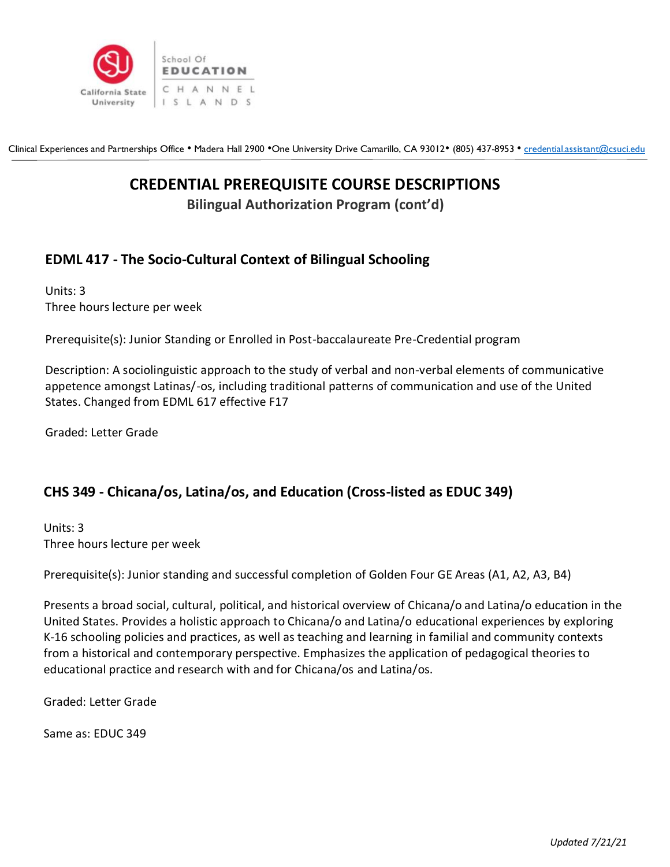

## **CREDENTIAL PREREQUISITE COURSE DESCRIPTIONS**

**Bilingual Authorization Program (cont'd)**

## **EDML 417 - The Socio-Cultural Context of Bilingual Schooling**

Units: 3 Three hours lecture per week

Prerequisite(s): Junior Standing or Enrolled in Post-baccalaureate Pre-Credential program

Description: A sociolinguistic approach to the study of verbal and non-verbal elements of communicative appetence amongst Latinas/-os, including traditional patterns of communication and use of the United States. Changed from EDML 617 effective F17

Graded: Letter Grade

#### **CHS 349 - Chicana/os, Latina/os, and Education (Cross-listed as EDUC 349)**

Units: 3 Three hours lecture per week

Prerequisite(s): Junior standing and successful completion of Golden Four GE Areas (A1, A2, A3, B4)

Presents a broad social, cultural, political, and historical overview of Chicana/o and Latina/o education in the United States. Provides a holistic approach to Chicana/o and Latina/o educational experiences by exploring K-16 schooling policies and practices, as well as teaching and learning in familial and community contexts from a historical and contemporary perspective. Emphasizes the application of pedagogical theories to educational practice and research with and for Chicana/os and Latina/os.

Graded: Letter Grade

Same as: EDUC 349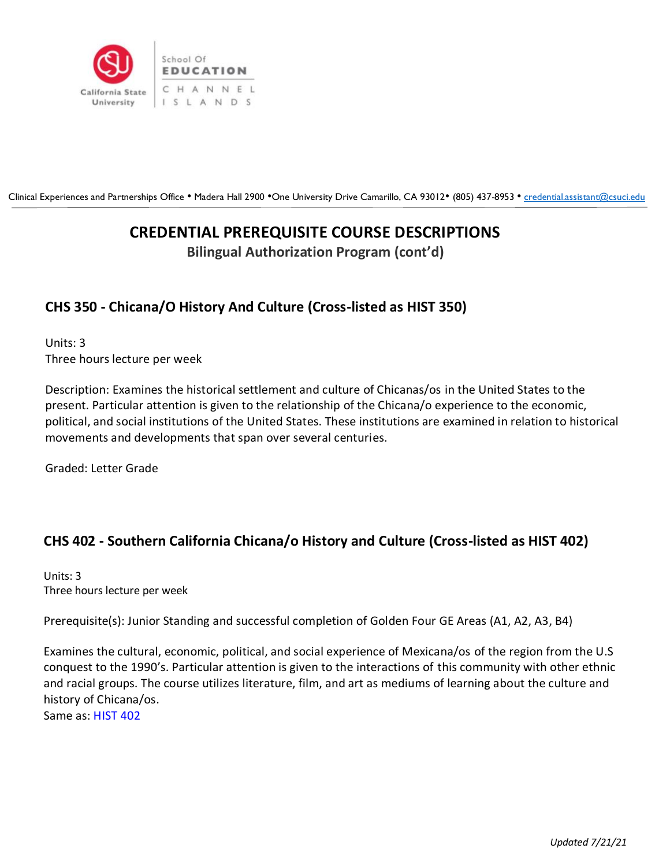

## **CREDENTIAL PREREQUISITE COURSE DESCRIPTIONS**

**Bilingual Authorization Program (cont'd)**

## **CHS 350 - Chicana/O History And Culture (Cross-listed as HIST 350)**

Units: 3 Three hours lecture per week

Description: Examines the historical settlement and culture of Chicanas/os in the United States to the present. Particular attention is given to the relationship of the Chicana/o experience to the economic, political, and social institutions of the United States. These institutions are examined in relation to historical movements and developments that span over several centuries.

Graded: Letter Grade

## **CHS 402 - Southern California Chicana/o History and Culture (Cross-listed as HIST 402)**

Units: 3 Three hours lecture per week

Prerequisite(s): Junior Standing and successful completion of Golden Four GE Areas (A1, A2, A3, B4)

Examines the cultural, economic, political, and social experience of Mexicana/os of the region from the U.S conquest to the 1990's. Particular attention is given to the interactions of this community with other ethnic and racial groups. The course utilizes literature, film, and art as mediums of learning about the culture and history of Chicana/os.

Same as: [HIST 402](https://catalog.csuci.edu/content.php?filter%5B27%5D=CHS&filter%5B29%5D=402&filter%5Bcourse_type%5D=-1&filter%5Bkeyword%5D=&filter%5B32%5D=1&filter%5Bcpage%5D=1&cur_cat_oid=53&expand=&navoid=3949&search_database=Filter#tt3934)